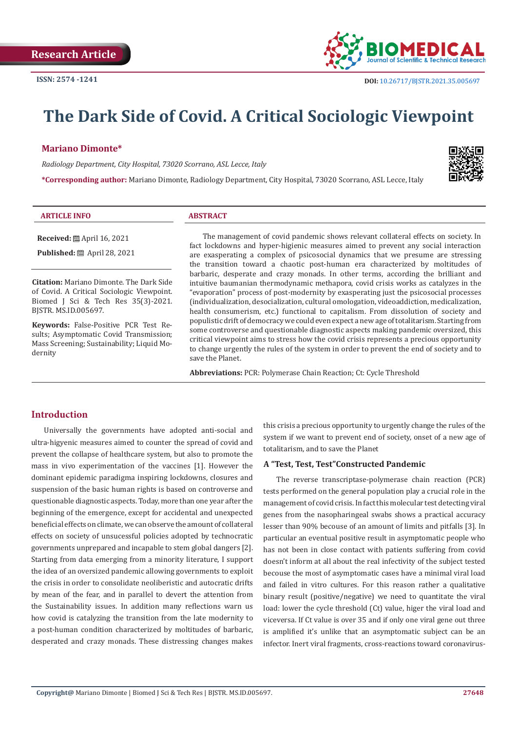

# **The Dark Side of Covid. A Critical Sociologic Viewpoint**

#### **Mariano Dimonte\***

*Radiology Department, City Hospital, 73020 Scorrano, ASL Lecce, Italy*

**\*Corresponding author:** Mariano Dimonte, Radiology Department, City Hospital, 73020 Scorrano, ASL Lecce, Italy



| <b>ARTICLE INFO</b><br><b>ABSTRACT</b> |
|----------------------------------------|

**Received:** April 16, 2021

**Published:** ■ April 28, 2021

**Citation:** Mariano Dimonte. The Dark Side of Covid. A Critical Sociologic Viewpoint. Biomed J Sci & Tech Res 35(3)-2021. BJSTR. MS.ID.005697.

**Keywords:** False-Positive PCR Test Results; Asymptomatic Covid Transmission; Mass Screening; Sustainability; Liquid Modernity

The management of covid pandemic shows relevant collateral effects on society. In fact lockdowns and hyper-higienic measures aimed to prevent any social interaction are exasperating a complex of psicosocial dynamics that we presume are stressing the transition toward a chaotic post-human era characterized by moltitudes of barbaric, desperate and crazy monads. In other terms, according the brilliant and intuitive baumanian thermodynamic methapora, covid crisis works as catalyzes in the "evaporation" process of post-modernity by exasperating just the psicosocial processes (individualization, desocialization, cultural omologation, videoaddiction, medicalization, health consumerism, etc.) functional to capitalism. From dissolution of society and populistic drift of democracy we could even expect a new age of totalitarism. Starting from some controverse and questionable diagnostic aspects making pandemic oversized, this critical viewpoint aims to stress how the covid crisis represents a precious opportunity to change urgently the rules of the system in order to prevent the end of society and to save the Planet.

**Abbreviations:** PCR: Polymerase Chain Reaction; Ct: Cycle Threshold

# **Introduction**

Universally the governments have adopted anti-social and ultra-higyenic measures aimed to counter the spread of covid and prevent the collapse of healthcare system, but also to promote the mass in vivo experimentation of the vaccines [1]. However the dominant epidemic paradigma inspiring lockdowns, closures and suspension of the basic human rights is based on controverse and questionable diagnostic aspects. Today, more than one year after the beginning of the emergence, except for accidental and unexpected beneficial effects on climate, we can observe the amount of collateral effects on society of unsucessful policies adopted by technocratic governments unprepared and incapable to stem global dangers [2]. Starting from data emerging from a minority literature, I support the idea of an oversized pandemic allowing governments to exploit the crisis in order to consolidate neoliberistic and autocratic drifts by mean of the fear, and in parallel to devert the attention from the Sustainability issues. In addition many reflections warn us how covid is catalyzing the transition from the late modernity to a post-human condition characterized by moltitudes of barbaric, desperated and crazy monads. These distressing changes makes this crisis a precious opportunity to urgently change the rules of the system if we want to prevent end of society, onset of a new age of totalitarism, and to save the Planet

#### **A "Test, Test, Test"Constructed Pandemic**

The reverse transcriptase-polymerase chain reaction (PCR) tests performed on the general population play a crucial role in the management of covid crisis. In fact this molecular test detecting viral genes from the nasopharingeal swabs shows a practical accuracy lesser than 90% becouse of an amount of limits and pitfalls [3]. In particular an eventual positive result in asymptomatic people who has not been in close contact with patients suffering from covid doesn't inform at all about the real infectivity of the subject tested becouse the most of asymptomatic cases have a minimal viral load and failed in vitro cultures. For this reason rather a qualitative binary result (positive/negative) we need to quantitate the viral load: lower the cycle threshold (Ct) value, higer the viral load and viceversa. If Ct value is over 35 and if only one viral gene out three is amplified it's unlike that an asymptomatic subject can be an infector. Inert viral fragments, cross-reactions toward coronavirus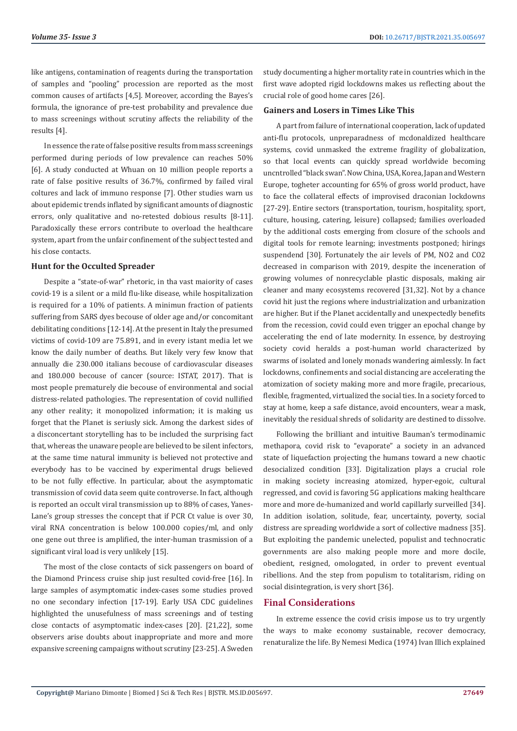like antigens, contamination of reagents during the transportation of samples and "pooling" procession are reported as the most common causes of artifacts [4,5]. Moreover, according the Bayes's formula, the ignorance of pre-test probability and prevalence due to mass screenings without scrutiny affects the reliability of the results [4].

In essence the rate of false positive results from mass screenings performed during periods of low prevalence can reaches 50% [6]. A study conducted at Whuan on 10 million people reports a rate of false positive results of 36.7%, confirmed by failed viral coltures and lack of immuno response [7]. Other studies warn us about epidemic trends inflated by significant amounts of diagnostic errors, only qualitative and no-retested dobious results [8-11]. Paradoxically these errors contribute to overload the healthcare system, apart from the unfair confinement of the subject tested and his close contacts.

#### **Hunt for the Occulted Spreader**

Despite a "state-of-war" rhetoric, in tha vast maiority of cases covid-19 is a silent or a mild flu-like disease, while hospitalization is required for a 10% of patients. A minimun fraction of patients suffering from SARS dyes becouse of older age and/or concomitant debilitating conditions [12-14]. At the present in Italy the presumed victims of covid-109 are 75.891, and in every istant media let we know the daily number of deaths. But likely very few know that annually die 230.000 italians becouse of cardiovascular diseases and 180.000 becouse of cancer (source: ISTAT, 2017). That is most people prematurely die becouse of environmental and social distress-related pathologies. The representation of covid nullified any other reality; it monopolized information; it is making us forget that the Planet is seriusly sick. Among the darkest sides of a disconcertant storytelling has to be included the surprising fact that, whereas the unaware people are believed to be silent infectors, at the same time natural immunity is believed not protective and everybody has to be vaccined by experimental drugs believed to be not fully effective. In particular, about the asymptomatic transmission of covid data seem quite controverse. In fact, although is reported an occult viral transmission up to 88% of cases, Yanes-Lane's group stresses the concept that if PCR Ct value is over 30, viral RNA concentration is below 100.000 copies/ml, and only one gene out three is amplified, the inter-human trasmission of a significant viral load is very unlikely [15].

The most of the close contacts of sick passengers on board of the Diamond Princess cruise ship just resulted covid-free [16]. In large samples of asymptomatic index-cases some studies proved no one secondary infection [17-19]. Early USA CDC guidelines highlighted the unusefulness of mass screenings and of testing close contacts of asymptomatic index-cases [20]. [21,22], some observers arise doubts about inappropriate and more and more expansive screening campaigns without scrutiny [23-25]. A Sweden

study documenting a higher mortality rate in countries which in the first wave adopted rigid lockdowns makes us reflecting about the crucial role of good home cares [26].

## **Gainers and Losers in Times Like This**

A part from failure of international cooperation, lack of updated anti-flu protocols, unpreparadness of mcdonaldized healthcare systems, covid unmasked the extreme fragility of globalization, so that local events can quickly spread worldwide becoming uncntrolled "black swan". Now China, USA, Korea, Japan and Western Europe, togheter accounting for 65% of gross world product, have to face the collateral effects of improvised draconian lockdowns [27-29]. Entire sectors (transportation, tourism, hospitality, sport, culture, housing, catering, leisure) collapsed; families overloaded by the additional costs emerging from closure of the schools and digital tools for remote learning; investments postponed; hirings suspendend [30]. Fortunately the air levels of PM, NO2 and CO2 decreased in comparison with 2019, despite the inceneration of growing volumes of nonrecyclable plastic disposals, making air cleaner and many ecosystems recovered [31,32]. Not by a chance covid hit just the regions where industrialization and urbanization are higher. But if the Planet accidentally and unexpectedly benefits from the recession, covid could even trigger an epochal change by accelerating the end of late modernity. In essence, by destroying society covid heralds a post-human world characterized by swarms of isolated and lonely monads wandering aimlessly. In fact lockdowns, confinements and social distancing are accelerating the atomization of society making more and more fragile, precarious, flexible, fragmented, virtualized the social ties. In a society forced to stay at home, keep a safe distance, avoid encounters, wear a mask, inevitably the residual shreds of solidarity are destined to dissolve.

Following the brilliant and intuitive Bauman's termodinamic methapora, covid risk to "evaporate" a society in an advanced state of liquefaction projecting the humans toward a new chaotic desocialized condition [33]. Digitalization plays a crucial role in making society increasing atomized, hyper-egoic, cultural regressed, and covid is favoring 5G applications making healthcare more and more de-humanized and world capillarly surveilled [34]. In addition isolation, solitude, fear, uncertainty, poverty, social distress are spreading worldwide a sort of collective madness [35]. But exploiting the pandemic unelected, populist and technocratic governments are also making people more and more docile, obedient, resigned, omologated, in order to prevent eventual ribellions. And the step from populism to totalitarism, riding on social disintegration, is very short [36].

# **Final Considerations**

In extreme essence the covid crisis impose us to try urgently the ways to make economy sustainable, recover democracy, renaturalize the life. By Nemesi Medica (1974) Ivan Illich explained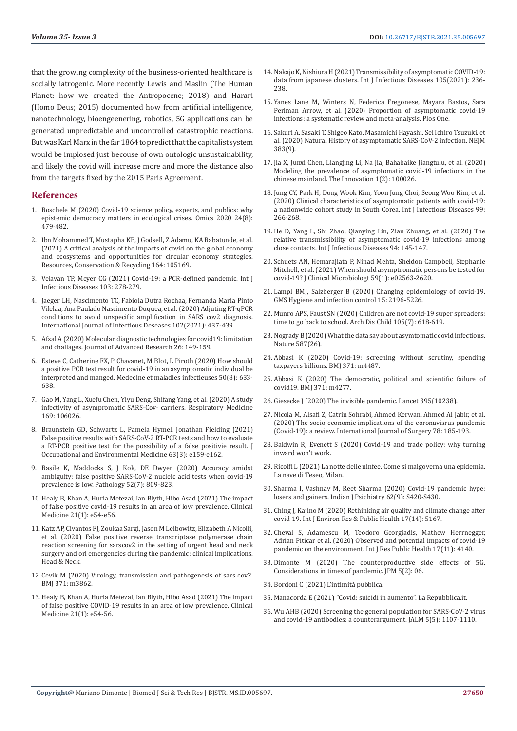that the growing complexity of the business-oriented healthcare is socially iatrogenic. More recently Lewis and Maslin (The Human Planet: how we created the Antropocene; 2018) and Harari (Homo Deus; 2015) documented how from artificial intelligence, nanotechnology, bioengeenering, robotics, 5G applications can be generated unpredictable and uncontrolled catastrophic reactions. But was Karl Marx in the far 1864 to predict that the capitalist system would be implosed just becouse of own ontologic unsustainability, and likely the covid will increase more and more the distance also from the targets fixed by the 2015 Paris Agreement.

## **References**

- 1. [Boschele M \(2020\) Covid-19 science policy, experts, and publics: why](https://pubmed.ncbi.nlm.nih.gov/32644877/)  [epistemic democracy matters in ecological crises. Omics 2020 24\(8\):](https://pubmed.ncbi.nlm.nih.gov/32644877/)  [479-482.](https://pubmed.ncbi.nlm.nih.gov/32644877/)
- 2. Ibn Mohammed T, Mustapha KB, J Godsell, Z Adamu, KA Babatunde, et al. (2021) A critical analysis of the impacts of covid on the global economy and ecosystems and opportunities for circular economy strategies. Resources, Conservation & Recycling 164: 105169.
- 3. [Velavan TP, Meyer CG \(2021\) Covid-19: a PCR-defined pandemic. Int J](https://www.ncbi.nlm.nih.gov/pmc/articles/PMC7704340/)  [Infectious Diseases 103: 278-279.](https://www.ncbi.nlm.nih.gov/pmc/articles/PMC7704340/)
- 4. [Jaeger LH, Nascimento TC, Fabíola Dutra Rochaa, Fernanda Maria Pinto](https://www.ijidonline.com/article/S1201-9712(20)32283-9/pdf)  [Vilelaa, Ana Paulado Nascimento Duquea, et al. \(2020\) Adjuting RT-qPCR](https://www.ijidonline.com/article/S1201-9712(20)32283-9/pdf)  [conditions to avoid unspecific amplification in SARS cov2 diagnosis.](https://www.ijidonline.com/article/S1201-9712(20)32283-9/pdf)  [International Journal of Infectious Deseases 102\(2021\): 437-439.](https://www.ijidonline.com/article/S1201-9712(20)32283-9/pdf)
- 5. [Afzal A \(2020\) Molecular diagnostic technologies for covid19: limitation](https://www.ncbi.nlm.nih.gov/pmc/articles/PMC7406419/)  [and challages. Journal of Advanced Research 26: 149-159.](https://www.ncbi.nlm.nih.gov/pmc/articles/PMC7406419/)
- 6. [Esteve C, Catherine FX, P Chavanet, M Blot, L Piroth \(2020\) How should](https://www.ncbi.nlm.nih.gov/pmc/articles/PMC7532802/)  [a positive PCR test result for covid-19 in an asymptomatic individual be](https://www.ncbi.nlm.nih.gov/pmc/articles/PMC7532802/)  [interpreted and manged. Medecine et maladies infectieuses 50\(8\): 633-](https://www.ncbi.nlm.nih.gov/pmc/articles/PMC7532802/) [638.](https://www.ncbi.nlm.nih.gov/pmc/articles/PMC7532802/)
- 7. [Gao M, Yang L, Xuefu Chen, Yiyu Deng, Shifang Yang, et al. \(2020\) A study](https://www.ncbi.nlm.nih.gov/pmc/articles/PMC7219423/)  [infectivity of asympromatic SARS-Cov- carriers. Respiratory Medicine](https://www.ncbi.nlm.nih.gov/pmc/articles/PMC7219423/)  [169: 106026.](https://www.ncbi.nlm.nih.gov/pmc/articles/PMC7219423/)
- 8. [Braunstein GD, Schwartz L, Pamela Hymel, Jonathan Fielding \(2021\)](https://pubmed.ncbi.nlm.nih.gov/33405498/)  [False positive results with SARS-CoV-2 RT-PCR tests and how to evaluate](https://pubmed.ncbi.nlm.nih.gov/33405498/)  [a RT-PCR positive test for the possibility of a false positivie result. J](https://pubmed.ncbi.nlm.nih.gov/33405498/)  [Occupational and Environmental Medicine 63\(3\): e159-e162.](https://pubmed.ncbi.nlm.nih.gov/33405498/)
- 9. [Basile K, Maddocks S, J Kok, DE Dwyer \(2020\) Accuracy amidst](https://www.ncbi.nlm.nih.gov/pmc/articles/PMC7524665/)  [ambiguity: false positive SARS-CoV-2 nucleic acid tests when covid-19](https://www.ncbi.nlm.nih.gov/pmc/articles/PMC7524665/)  [prevalence is low. Pathology 52\(7\): 809-823.](https://www.ncbi.nlm.nih.gov/pmc/articles/PMC7524665/)
- 10. [Healy B, Khan A, Huria Metezai, Ian Blyth, Hibo Asad \(2021\) The impact](https://www.ncbi.nlm.nih.gov/pmc/articles/PMC7850182/)  [of false positive covid-19 results in an area of low prevalence. Clinical](https://www.ncbi.nlm.nih.gov/pmc/articles/PMC7850182/)  [Medicine 21\(1\): e54-e56.](https://www.ncbi.nlm.nih.gov/pmc/articles/PMC7850182/)
- 11. [Katz AP, Civantos FJ, Zoukaa Sargi, Jason M Leibowitz, Elizabeth A Nicolli,](https://www.ncbi.nlm.nih.gov/pmc/articles/PMC7307014/)  [et al. \(2020\) False positive reverse transcriptase polymerase chain](https://www.ncbi.nlm.nih.gov/pmc/articles/PMC7307014/)  [reaction screening for sarscov2 in the setting of urgent head and neck](https://www.ncbi.nlm.nih.gov/pmc/articles/PMC7307014/)  [surgery and orl emergencies during the pandemic: clinical implications.](https://www.ncbi.nlm.nih.gov/pmc/articles/PMC7307014/)  [Head & Neck.](https://www.ncbi.nlm.nih.gov/pmc/articles/PMC7307014/)
- 12. [Cevik M \(2020\) Virology, transmission and pathogenesis of sars cov2.](https://www.bmj.com/content/371/bmj.m3862)  [BMJ 371: m3862.](https://www.bmj.com/content/371/bmj.m3862)
- 13. [Healy B, Khan A, Huria Metezai, Ian Blyth, Hibo Asad \(2021\) The impact](https://pubmed.ncbi.nlm.nih.gov/33243836/)  [of false positive COVID-19 results in an area of low prevalence. Clinical](https://pubmed.ncbi.nlm.nih.gov/33243836/)  [Medicine 21\(1\): e54-56.](https://pubmed.ncbi.nlm.nih.gov/33243836/)
- 14. [Nakajo K, Nishiura H \(2021\) Transmissibility of asymptomatic COVID-19:](https://www.ijidonline.com/article/S1201-9712(21)00151-X/pdf) [data from japanese clusters. Int J Infectious Diseases 105\(2021\): 236-](https://www.ijidonline.com/article/S1201-9712(21)00151-X/pdf) [238.](https://www.ijidonline.com/article/S1201-9712(21)00151-X/pdf)
- 15. [Yanes Lane M, Winters N, Federica Fregonese, Mayara Bastos, Sara](https://journals.plos.org/plosone/article/authors?id=10.1371/journal.pone.0241536) [Perlman Arrow, et al. \(2020\) Proportion of asymptomatic covid-19](https://journals.plos.org/plosone/article/authors?id=10.1371/journal.pone.0241536) [infections: a systematic review and meta-analysis. Plos One.](https://journals.plos.org/plosone/article/authors?id=10.1371/journal.pone.0241536)
- 16. [Sakuri A, Sasaki T, Shigeo Kato, Masamichi Hayashi, Sei Ichiro Tsuzuki, et](https://www.researchgate.net/publication/342140087_Natural_History_of_Asymptomatic_SARS-CoV-2_Infection) [al. \(2020\) Natural History of asymptomatic SARS-CoV-2 infection. NEJM](https://www.researchgate.net/publication/342140087_Natural_History_of_Asymptomatic_SARS-CoV-2_Infection) [383\(9\).](https://www.researchgate.net/publication/342140087_Natural_History_of_Asymptomatic_SARS-CoV-2_Infection)
- 17. [Jia X, Junxi Chen, Liangjing Li, Na Jia, Bahabaike Jiangtulu, et al. \(2020\)](https://www.ncbi.nlm.nih.gov/pmc/articles/PMC7399709/) [Modeling the prevalence of asymptomatic covid-19 infections in the](https://www.ncbi.nlm.nih.gov/pmc/articles/PMC7399709/) [chinese mainland. The Innovation 1\(2\): 100026.](https://www.ncbi.nlm.nih.gov/pmc/articles/PMC7399709/)
- 18. [Jung CY, Park H, Dong Wook Kim, Yoon Jung Choi, Seong Woo Kim, et al.](https://www.ncbi.nlm.nih.gov/pmc/articles/PMC7409994/) [\(2020\) Clinical characteristics of asymptomatic patients with covid-19:](https://www.ncbi.nlm.nih.gov/pmc/articles/PMC7409994/) [a nationwide cohort study in South Corea. Int J Infectious Diseases 99:](https://www.ncbi.nlm.nih.gov/pmc/articles/PMC7409994/) [266-268.](https://www.ncbi.nlm.nih.gov/pmc/articles/PMC7409994/)
- 19. [He D, Yang L, Shi Zhao, Qianying Lin, Zian Zhuang, et al. \(2020\) The](https://www.ncbi.nlm.nih.gov/pmc/articles/PMC7166025/) [relative transmissibility of asymptomatic covid-19 infections among](https://www.ncbi.nlm.nih.gov/pmc/articles/PMC7166025/) [close contacts. Int J Infectious Diseases 94: 145-147.](https://www.ncbi.nlm.nih.gov/pmc/articles/PMC7166025/)
- 20. [Schuets AN, Hemarajiata P, Ninad Mehta, Sheldon Campbell, Stephanie](https://pubmed.ncbi.nlm.nih.gov/33023910/) [Mitchell, et al. \(2021\) When should asymptromatic persons be tested for](https://pubmed.ncbi.nlm.nih.gov/33023910/) [covid-19? J Clinical Microbiologt 59\(1\): e02563-2620.](https://pubmed.ncbi.nlm.nih.gov/33023910/)
- 21. [Lampl BMJ, Salzberger B \(2020\) Changing epidemiology of covid-19.](https://www.ncbi.nlm.nih.gov/pmc/articles/PMC7656981/) [GMS Hygiene and infection control 15: 2196-5226.](https://www.ncbi.nlm.nih.gov/pmc/articles/PMC7656981/)
- 22. [Munro APS, Faust SN \(2020\) Children are not covid-19 super spreaders:](https://pubmed.ncbi.nlm.nih.gov/32371442/) [time to go back to school. Arch Dis Child 105\(7\): 618-619.](https://pubmed.ncbi.nlm.nih.gov/32371442/)
- 23. [Nogrady B \(2020\) What the data say about asymtomatic covid infections.](https://media.nature.com/original/magazine-assets/d41586-020-03141-3/d41586-020-03141-3.pdf) [Nature 587\(26\).](https://media.nature.com/original/magazine-assets/d41586-020-03141-3/d41586-020-03141-3.pdf)
- 24. [Abbasi K \(2020\) Covid-19: screening without scrutiny, spending](https://www.bmj.com/content/371/bmj.m4487/rapid-responses) [taxpayers billions. BMJ 371: m4487.](https://www.bmj.com/content/371/bmj.m4487/rapid-responses)
- 25. [Abbasi K \(2020\) The democratic, political and scientific failure of](https://www.bmj.com/content/371/bmj.m4277) [covid19. BMJ 371: m4277.](https://www.bmj.com/content/371/bmj.m4277)
- 26. [Giesecke J \(2020\) The invisible pandemic. Lancet 395\(10238\).](https://www.thelancet.com/journals/lancet/article/PIIS0140-67362031035-7/fulltext)
- 27. [Nicola M, Alsafi Z, Catrin Sohrabi, Ahmed Kerwan, Ahmed Al Jabir, et al.](https://www.ncbi.nlm.nih.gov/pmc/articles/PMC7162753/) [\(2020\) The socio-economic implications of the coronavisrus pandemic](https://www.ncbi.nlm.nih.gov/pmc/articles/PMC7162753/) [\(Covid-19\): a review. International Journal of Surgery 78: 185-193.](https://www.ncbi.nlm.nih.gov/pmc/articles/PMC7162753/)
- 28. [Baldwin R, Evenett S \(2020\) Covid-19 and trade policy: why turning](https://voxeu.org/content/covid-19-and-trade-policy-why-turning-inward-won-t-work) [inward won't work.](https://voxeu.org/content/covid-19-and-trade-policy-why-turning-inward-won-t-work)
- 29. [Ricolfi L \(2021\) La notte delle ninfee. Come si malgoverna una epidemia.](http://www.lanavediteseo.eu/item/la-notte-delle-ninfee/) [La nave di Teseo, Milan.](http://www.lanavediteseo.eu/item/la-notte-delle-ninfee/)
- 30. [Sharma I, Vashnav M, Reet Sharma \(2020\) Covid-19 pandemic hype:](https://www.indianjpsychiatry.org/article.asp?issn=0019-5545;year=2020;volume=62;issue=9;spage=420;epage=430;aulast=Sharma) [losers and gainers. Indian J Psichiatry 62\(9\): S420-S430.](https://www.indianjpsychiatry.org/article.asp?issn=0019-5545;year=2020;volume=62;issue=9;spage=420;epage=430;aulast=Sharma)
- 31. [Ching J, Kajino M \(2020\) Rethinking air quality and climate change after](https://www.ncbi.nlm.nih.gov/pmc/articles/PMC7400058/) [covid-19. Int J Environ Res & Public Health 17\(14\): 5167.](https://www.ncbi.nlm.nih.gov/pmc/articles/PMC7400058/)
- 32. [Cheval S, Adamescu M, Teodoro Georgiadis, Mathew Herrnegger,](https://www.ncbi.nlm.nih.gov/pmc/articles/PMC7311982/) [Adrian Piticar et al. \(2020\) Observed and potential impacts of covid-19](https://www.ncbi.nlm.nih.gov/pmc/articles/PMC7311982/) [pandemic on the environment. Int J Res Public Health 17\(11\): 4140.](https://www.ncbi.nlm.nih.gov/pmc/articles/PMC7311982/)
- 33. [Dimonte M \(2020\) The counterproductive side effects of 5G.](https://preventive-medicine.imedpub.com/the-counterproductive-side-effect-of-5g-considerations-in-the-times-of-pandemic.php?aid=28284) [Considerations in times of pandemic. JPM 5\(2\): 06.](https://preventive-medicine.imedpub.com/the-counterproductive-side-effect-of-5g-considerations-in-the-times-of-pandemic.php?aid=28284)
- 34. Bordoni C (2021) L'intimità pubblica.
- 35. Manacorda E (2021) "Covid: suicidi in aumento". La Repubblica.it.
- 36. [Wu AHB \(2020\) Screening the general population for SARS-CoV-2 virus](https://pubmed.ncbi.nlm.nih.gov/32609341/) [and covid-19 antibodies: a counterargument. JALM 5\(5\): 1107-1110.](https://pubmed.ncbi.nlm.nih.gov/32609341/)